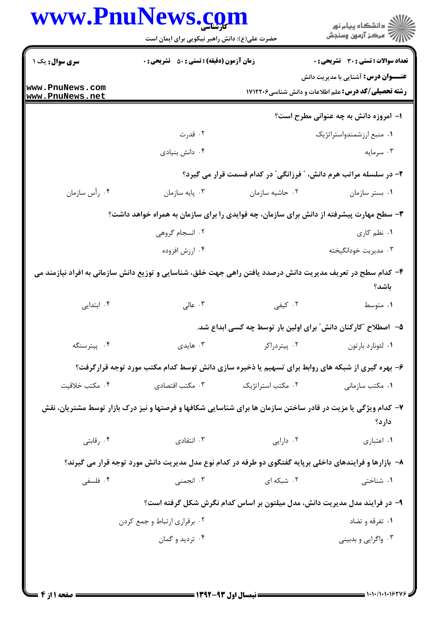|                                    | حضرت علی(ع): دانش راهبر نیکویی برای ایمان است                                                                |                                                                           | ِ<br>∭ دانشڪاه پيا <sub>م</sub> نور<br>∭ مرڪز آزمون وسنڊش                                                 |  |
|------------------------------------|--------------------------------------------------------------------------------------------------------------|---------------------------------------------------------------------------|-----------------------------------------------------------------------------------------------------------|--|
| <b>سری سوال :</b> یک ۱             | <b>زمان آزمون (دقیقه) : تستی : 50 ٪ تشریحی : 0</b>                                                           |                                                                           | <b>تعداد سوالات : تستی : 30 ٪ تشریحی : 0</b>                                                              |  |
| www.PnuNews.com<br>www.PnuNews.net |                                                                                                              |                                                                           | <b>عنــــوان درس:</b> آشنایی با مدیریت دانش<br><b>رشته تحصیلی/کد درس:</b> علم اطلاعات و دانش شناسی1۷۱۲۲۰۶ |  |
|                                    |                                                                                                              |                                                                           | ۱– امروزه دانش به چه عنوانی مطرح است؟                                                                     |  |
|                                    | ۰۲ قدرت                                                                                                      |                                                                           | ٠١ منبع ارزشمندواستراتژيک                                                                                 |  |
|                                    | ۰۴ دانش بنیادی                                                                                               |                                                                           | ۰۳ سرمایه                                                                                                 |  |
|                                    |                                                                                                              |                                                                           | ۲- در سلسله مراتب هرم دانش، ″ فرزانگی″ در کدام قسمت قرار می گیرد؟                                         |  |
| ۰۴ رأس سازمان                      | ۰۳ پايه سازمان                                                                                               | ۰۲ حاشیه سازمان                                                           | ٠١ بستر سازمان                                                                                            |  |
|                                    | ۳- سطح مهارت پیشرفته از دانش برای سازمان، چه فوایدی را برای سازمان به همراه خواهد داشت؟                      |                                                                           |                                                                                                           |  |
|                                    | ۰۲ انسجام گروهی                                                                                              |                                                                           | ۰۱ نظم کاری                                                                                               |  |
|                                    | ۰۴ ارزش افزوده                                                                                               |                                                                           | ۰۳ مدیریت خودانگیخته                                                                                      |  |
|                                    | ۴– کدام سطح در تعریف مدیریت دانش درصدد یافتن راهی جهت خلق، شناسایی و توزیع دانش سازمانی به افراد نیازمند می  |                                                                           | باشد؟                                                                                                     |  |
| ۰۴ ابتدایی                         | ۰۳ عالی $\cdot$                                                                                              | ۰۲ کیفی                                                                   | ۰۱ متوسط                                                                                                  |  |
|                                    |                                                                                                              |                                                                           | ۵−۔ اصطلاح ″کارکنان دانش ؒ برای اولین بار توسط چه کسی ابداع شد.                                           |  |
| ۰۴ پیترسنگه                        | . هایدی $\cdot$                                                                                              | ۰۲ پیتردراکر                                                              | ٠١ لئونارد بارتون                                                                                         |  |
|                                    | ۶- بهره گیری از شبکه های روابط برای تسهیم یا ذخیره سازی دانش توسط کدام مکتب مورد توجه قرارگرفت؟              |                                                                           |                                                                                                           |  |
| ۰۴ مكتب خلاقيت                     |                                                                                                              |                                                                           | ۰۱ مکتب سازمانی                                                                                           |  |
|                                    | ۷- کدام ویژگی یا مزیت در قادر ساختن سازمان ها برای شناسایی شکافها و فرصتها و نیز درک بازار توسط مشتریان، نقش |                                                                           | دارد؟                                                                                                     |  |
| ۰۴ رقابتی                          | ۰۳ انتقادی                                                                                                   | ۰۲ دارایی                                                                 | ٠١ اعتباري                                                                                                |  |
|                                    | ۸– بازارها و فرایندهای داخلی برپایه گفتگوی دو طرفه در کدام نوع مدل مدیریت دانش مورد توجه قرار می گیرند؟      |                                                                           |                                                                                                           |  |
| ۰۴ فلسفی                           | ۰۳ انجمنی                                                                                                    | ۰۲ شبکه ای                                                                | ۰۱ شناختی                                                                                                 |  |
|                                    |                                                                                                              | ۹- در فرایند مدل مدیریت دانش، مدل میلتون بر اساس کدام نگرش شکل گرفته است؟ |                                                                                                           |  |
|                                    | ۰۲ برقراری ارتباط و جمع کردن                                                                                 |                                                                           | ۰۱ تفرقه و تضاد                                                                                           |  |
|                                    | ۰۴ ترديد و گمان                                                                                              |                                                                           | ۰۳ واگرایی و بدبینی                                                                                       |  |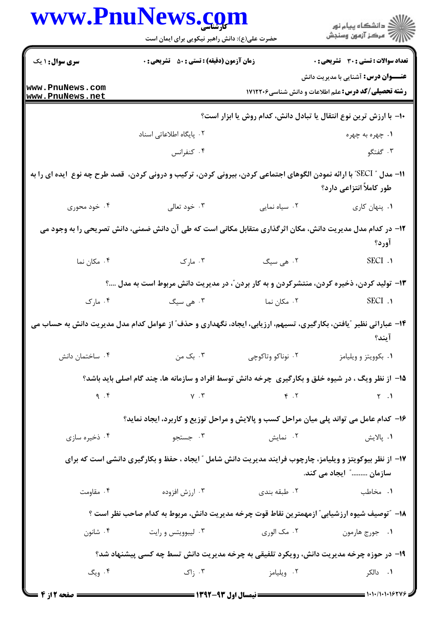|                                    | www.PnuNews.com<br>حضرت علی(ع): دانش راهبر نیکویی برای ایمان است                                                     |                                 | ڪ دانشڪاه پيام نور<br><mark>ر</mark> ⊽ مرڪز آزمون وسنڊش                                                   |
|------------------------------------|----------------------------------------------------------------------------------------------------------------------|---------------------------------|-----------------------------------------------------------------------------------------------------------|
| <b>سری سوال : ۱ یک</b>             | <b>زمان آزمون (دقیقه) : تستی : 50 ٪ تشریحی : 0</b>                                                                   |                                 | تعداد سوالات : تستى : 30 قشريحى : 0                                                                       |
| www.PnuNews.com<br>www.PnuNews.net |                                                                                                                      |                                 | <b>عنــــوان درس:</b> آشنایی با مدیریت دانش<br><b>رشته تحصیلی/کد درس:</b> علم اطلاعات و دانش شناسی۱۷۱۲۲۰۶ |
|                                    |                                                                                                                      |                                 | ∙ا− با ارزش ترین نوع انتقال یا تبادل دانش، کدام روش یا ابزار است؟                                         |
|                                    | ۰۲ پایگاه اطلاعاتی اسناد                                                                                             |                                 | ۰۱ چهره به چهره                                                                                           |
|                                    | ۰۴ کنفرانس                                                                                                           |                                 | ۰۳ گفتگو                                                                                                  |
|                                    | 11– مدل " SECI" با ارائه نمودن الگوهای اجتماعی کردن، بیرونی کردن، ترکیب و درونی کردن،  قصد طرح چه نوع  ایده ای را به |                                 | طور کاملاً انتزاعی دارد؟                                                                                  |
| ۰۴ خود محوری                       | ۰۳ خود تعالی                                                                                                         | ۰۲ سیاه نمایی                   | ٠١. پنهان كارى                                                                                            |
|                                    | ۱۲– در کدام مدل مدیریت دانش، مکان اثرگذاری متقابل مکانی است که طی آن دانش ضمنی، دانش تصریحی را به وجود می            |                                 | آورد؟                                                                                                     |
| ۰۴ مکان نما                        | ۰۳ مارک                                                                                                              | ۰۲ هی سیگ                       | SECI .1                                                                                                   |
|                                    | ۱۳- تولید کردن، ذخیره کردن، منتشرکردن و به کار بردن ّ، در مدیریت دانش مربوط است به مدل ؟                             |                                 |                                                                                                           |
| ۰۴ مارک                            | ۰۳ هی سیگ                                                                                                            | ۰۲ مکان نما                     | SECI .1                                                                                                   |
|                                    | ۱۴– عباراتی نظیر ″یافتن، بکارگیری، تسیهم، ارزیابی، ایجاد، نگهداری و حذف″ از عوامل کدام مدل مدیریت دانش به حساب می    |                                 | ايند؟                                                                                                     |
| ۰۴ ساختمان دانش                    | ۰۳ بک من                                                                                                             | ۰۲ نوناکو وتاکوچی               | ۰۱ بکوویتز و ویلیامز                                                                                      |
|                                    | ۱۵- از نظر ویگ ، در شیوه خلق و بکارگیری چرخه دانش توسط افراد و سازمانه ها، چند گام اصلی باید باشد؟                   |                                 |                                                                                                           |
|                                    | q.f $Y \cdot Y$                                                                                                      |                                 | $\mathcal{L}$ . The state $\mathcal{L}$                                                                   |
|                                    | ۱۶- کدام عامل می تواند پلی میان مراحل کسب و پالایش و مراحل توزیع و کاربرد، ایجاد نماید؟                              |                                 |                                                                                                           |
| ۰۴ ذخیره سازی                      | ۰۳ جستجو                                                                                                             | ۰۲ نمایش                        | ۰۱ پالايش                                                                                                 |
|                                    | ۱۷- از نظر بیوکویتز و ویلیامز، چارچوب فرایند مدیریت دانش شامل ″ ایجاد ، حفظ و بکارگیری دانشی است که برای             |                                 | سازمان ………" ایجاد می کند.                                                                                 |
| ۰۴ مقاومت                          | ۰۳ ارزش افزوده                                                                                                       | ۰۲ طبقه بندی                    | ۰۱ مخاطب                                                                                                  |
|                                    | ۱۸– "توصیف شیوه ارزشیابی" ازمهمترین نقاط قوت چرخه مدیریت دانش، مربوط به کدام صاحب نظر است ؟                          |                                 |                                                                                                           |
| ۰۴ شانون                           | ۰۳ لیبوویتس و رایت                                                                                                   | ۰۱ جورج هارمون مسمع ۲۰ مک الوری |                                                                                                           |
|                                    | ۱۹- در حوزه چرخه مدیریت دانش، رویکرد تلفیقی به چرخه مدیریت دانش تسط چه کسی پیشنهاد شد؟                               |                                 |                                                                                                           |
| ۰۴ ویگ                             | ۰۳ زاک                                                                                                               | ۰۲ ویلیامز                      | ۰۱ دالکر                                                                                                  |
|                                    |                                                                                                                      |                                 | $\frac{1}{1}$ 1.1.1.1.1.1.000                                                                             |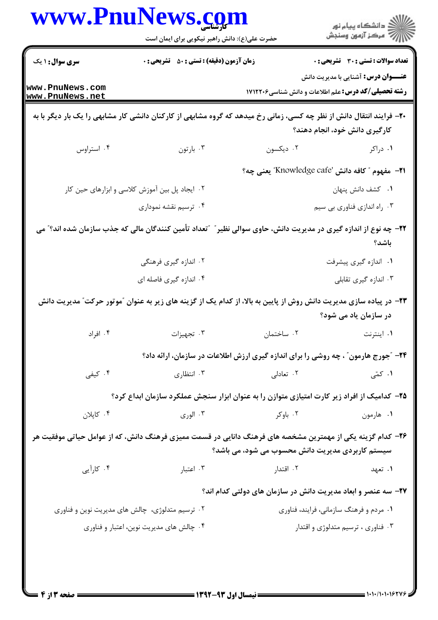|                                    | حضرت علی(ع): دانش راهبر نیکویی برای ایمان است                                                                        |                                                                                           | .<br>(2 دانشگاه پيام نور<br>(7 مرکز آزمون وسنجش                               |  |
|------------------------------------|----------------------------------------------------------------------------------------------------------------------|-------------------------------------------------------------------------------------------|-------------------------------------------------------------------------------|--|
| <b>سری سوال : ۱ یک</b>             | <b>زمان آزمون (دقیقه) : تستی : 50 ٪ تشریحی : 0</b>                                                                   |                                                                                           | <b>تعداد سوالات : تستی : 30 ٪ تشریحی : 0</b>                                  |  |
| www.PnuNews.com<br>www.PnuNews.net |                                                                                                                      | <b>رشته تحصیلی/کد درس:</b> علم اطلاعات و دانش شناسی1۷۱۲۲۰۶                                | <b>عنــــوان درس:</b> آشنایی با مدیریت دانش                                   |  |
|                                    | +۲- فرایند انتقال دانش از نظر چه کسی، زمانی رخ میدهد که گروه مشابهی از کارکنان دانشی کار مشابهی را یک بار دیگر با به |                                                                                           | کارگیری دانش خود، انجام دهند؟                                                 |  |
| ۰۴ استراوس                         | ۰۳ بارتون                                                                                                            | ۰۲ دیکسون                                                                                 | ۰۱ دراکر                                                                      |  |
|                                    |                                                                                                                      | <del>1</del> 1- مفهوم " كافه دانش 'Knowledge cafe'' يعني چه؟                              |                                                                               |  |
|                                    | ۰۲ ایجاد پل بین آموزش کلاسی و ابزارهای حین کار                                                                       |                                                                                           | ٠١ كشف دانش پنهان                                                             |  |
|                                    | ۰۴ ترسیم نقشه نموداری                                                                                                |                                                                                           | ۰۳ راه اندازي فناوري بي سيم                                                   |  |
|                                    | ۲۲– چه نوع از اندازه گیری در مدیریت دانش، حاوی سوالی نظیر ؒ ″تعداد تأمین کنندگان مالی که جذب سازمان شده اند؟″ می     |                                                                                           | باشد؟                                                                         |  |
|                                    | ۰۲ اندازه گیری فرهنگی                                                                                                |                                                                                           | ۰۱ اندازه گیری پیشرفت                                                         |  |
|                                    | ۰۴ اندازه گیری فاصله ای                                                                                              |                                                                                           | ۰۳ اندازه گیری تقابلی                                                         |  |
|                                    | ۲۳– در پیاده سازی مدیریت دانش روش از پایین به بالا، از کدام یک از گزینه های زیر به عنوان ″موتور حرکت″ مدیریت دانش    |                                                                                           | در سازمان یاد می شود؟                                                         |  |
| ۰۴ افراد                           | ۰۳ تجهیزات                                                                                                           | ٠٢ ساختمان                                                                                | ۰۱ اینترنت                                                                    |  |
|                                    |                                                                                                                      | <b>34- "جورج هارمون" ، چه روشی را برای اندازه گیری ارزش اطلاعات در سازمان، ارائه داد؟</b> |                                                                               |  |
| ۰۴ کیفی                            | ۰۳ انتظاری                                                                                                           | ۰۲ تعادلی                                                                                 | ۰۱ کمّی                                                                       |  |
|                                    | ۲۵– کدامیک از افراد زیر کارت امتیازی متوازن را به عنوان ابزار سنجش عملکرد سازمان ابداع کرد؟                          |                                                                                           |                                                                               |  |
| ۰۴ کاپلان                          | ۰۳ الوري                                                                                                             | ۰۲ باوکر                                                                                  | ۰۱ هارمون                                                                     |  |
|                                    | ۲۶– کدام گزینه یکی از مهمترین مشخصه های فرهنگ دانایی در قسمت ممیزی فرهنگ دانش، که از عوامل حیاتی موفقیت هر           |                                                                                           |                                                                               |  |
|                                    | ۰۳ اعتبار                                                                                                            | سیستم کاربردی مدیریت دانش محسوب می شود، می باشد؟                                          |                                                                               |  |
| ۰۴ کارآیی                          |                                                                                                                      | ۰۲ اقتدار                                                                                 | ۰۱ تعهد                                                                       |  |
|                                    |                                                                                                                      | ۲۷– سه عنصر و ابعاد مدیریت دانش در سازمان های دولتی کدام اند؟                             |                                                                               |  |
|                                    | ۰۲ ترسیم متدلوژی، چالش های مدیریت نوین و فناوری                                                                      |                                                                                           | ۰۱ مردم و فرهنگ سازمانی، فرایند، فناوری<br>۰۳ فناوری ، ترسیم متدلوژی و اقتدار |  |
|                                    | ۰۴ چالش های مدیریت نوین، اعتبار و فناوری                                                                             |                                                                                           |                                                                               |  |